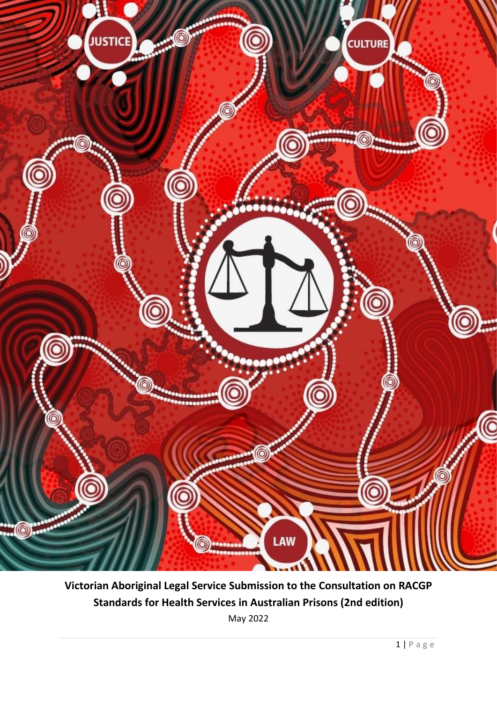

**Victorian Aboriginal Legal Service Submission to the Consultation on RACGP Standards for Health Services in Australian Prisons (2nd edition)** May 2022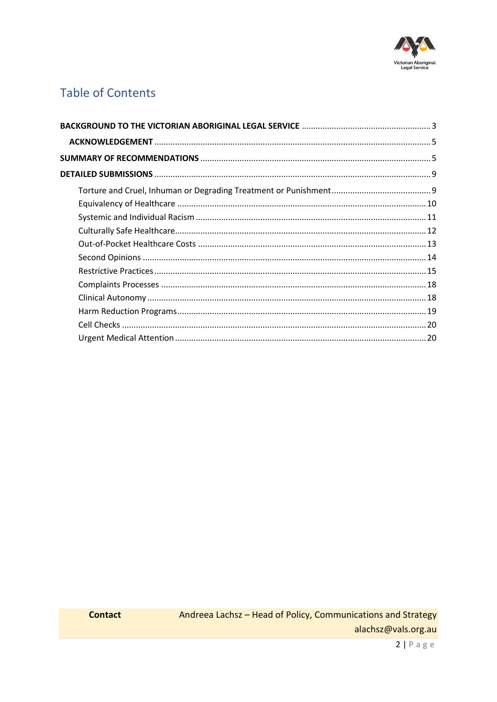

# **Table of Contents**

**Contact**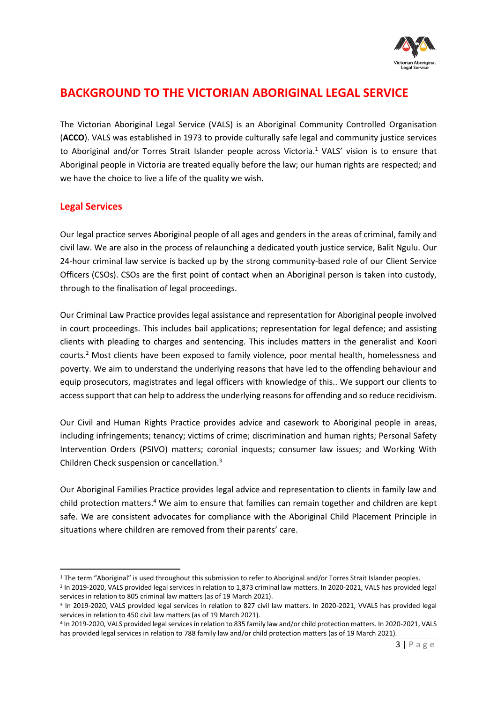

## <span id="page-2-0"></span>**BACKGROUND TO THE VICTORIAN ABORIGINAL LEGAL SERVICE**

The Victorian Aboriginal Legal Service (VALS) is an Aboriginal Community Controlled Organisation (**ACCO**). VALS was established in 1973 to provide culturally safe legal and community justice services to Aboriginal and/or Torres Strait Islander people across Victoria.<sup>1</sup> VALS' vision is to ensure that Aboriginal people in Victoria are treated equally before the law; our human rights are respected; and we have the choice to live a life of the quality we wish.

## **Legal Services**

Our legal practice serves Aboriginal people of all ages and genders in the areas of criminal, family and civil law. We are also in the process of relaunching a dedicated youth justice service, Balit Ngulu. Our 24-hour criminal law service is backed up by the strong community-based role of our Client Service Officers (CSOs). CSOs are the first point of contact when an Aboriginal person is taken into custody, through to the finalisation of legal proceedings.

Our Criminal Law Practice provides legal assistance and representation for Aboriginal people involved in court proceedings. This includes bail applications; representation for legal defence; and assisting clients with pleading to charges and sentencing. This includes matters in the generalist and Koori courts. <sup>2</sup> Most clients have been exposed to family violence, poor mental health, homelessness and poverty. We aim to understand the underlying reasons that have led to the offending behaviour and equip prosecutors, magistrates and legal officers with knowledge of this.. We support our clients to access support that can help to address the underlying reasons for offending and so reduce recidivism.

Our Civil and Human Rights Practice provides advice and casework to Aboriginal people in areas, including infringements; tenancy; victims of crime; discrimination and human rights; Personal Safety Intervention Orders (PSIVO) matters; coronial inquests; consumer law issues; and Working With Children Check suspension or cancellation.<sup>3</sup>

Our Aboriginal Families Practice provides legal advice and representation to clients in family law and child protection matters.<sup>4</sup> We aim to ensure that families can remain together and children are kept safe. We are consistent advocates for compliance with the Aboriginal Child Placement Principle in situations where children are removed from their parents' care.

<sup>&</sup>lt;sup>1</sup> The term "Aboriginal" is used throughout this submission to refer to Aboriginal and/or Torres Strait Islander peoples.

<sup>2</sup> In 2019-2020, VALS provided legal services in relation to 1,873 criminal law matters. In 2020-2021, VALS has provided legal services in relation to 805 criminal law matters (as of 19 March 2021).

<sup>3</sup> In 2019-2020, VALS provided legal services in relation to 827 civil law matters. In 2020-2021, VVALS has provided legal services in relation to 450 civil law matters (as of 19 March 2021).

<sup>4</sup> In 2019-2020, VALS provided legal services in relation to 835 family law and/or child protection matters. In 2020-2021, VALS has provided legal services in relation to 788 family law and/or child protection matters (as of 19 March 2021).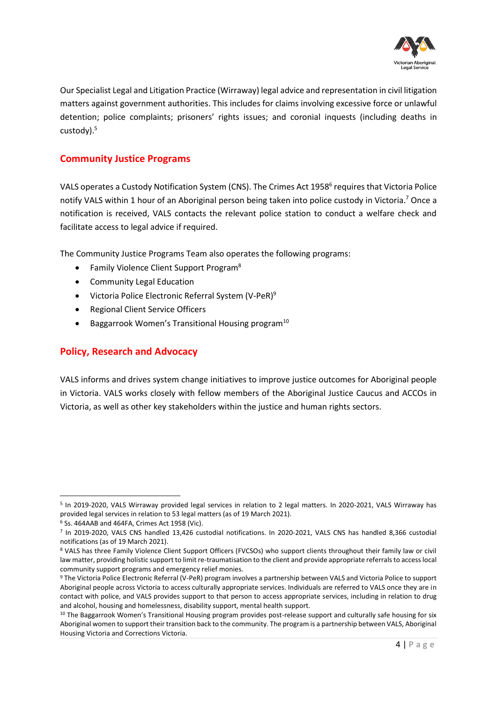

Our Specialist Legal and Litigation Practice (Wirraway) legal advice and representation in civil litigation matters against government authorities. This includes for claims involving excessive force or unlawful detention; police complaints; prisoners' rights issues; and coronial inquests (including deaths in custody).<sup>5</sup>

## **Community Justice Programs**

VALS operates a Custody Notification System (CNS). The Crimes Act 1958<sup>6</sup> requires that Victoria Police notify VALS within 1 hour of an Aboriginal person being taken into police custody in Victoria.<sup>7</sup> Once a notification is received, VALS contacts the relevant police station to conduct a welfare check and facilitate access to legal advice if required.

The Community Justice Programs Team also operates the following programs:

- Family Violence Client Support Program<sup>8</sup>
- Community Legal Education
- Victoria Police Electronic Referral System (V-PeR)<sup>9</sup>
- Regional Client Service Officers
- Baggarrook Women's Transitional Housing program<sup>10</sup>

## **Policy, Research and Advocacy**

VALS informs and drives system change initiatives to improve justice outcomes for Aboriginal people in Victoria. VALS works closely with fellow members of the Aboriginal Justice Caucus and ACCOs in Victoria, as well as other key stakeholders within the justice and human rights sectors.

<sup>5</sup> In 2019-2020, VALS Wirraway provided legal services in relation to 2 legal matters. In 2020-2021, VALS Wirraway has provided legal services in relation to 53 legal matters (as of 19 March 2021).

<sup>6</sup> Ss. 464AAB and 464FA, Crimes Act 1958 (Vic).

<sup>7</sup> In 2019-2020, VALS CNS handled 13,426 custodial notifications. In 2020-2021, VALS CNS has handled 8,366 custodial notifications (as of 19 March 2021).

<sup>8</sup> VALS has three Family Violence Client Support Officers (FVCSOs) who support clients throughout their family law or civil law matter, providing holistic support to limit re-traumatisation to the client and provide appropriate referrals to access local community support programs and emergency relief monies.

<sup>9</sup> The Victoria Police Electronic Referral (V-PeR) program involves a partnership between VALS and Victoria Police to support Aboriginal people across Victoria to access culturally appropriate services. Individuals are referred to VALS once they are in contact with police, and VALS provides support to that person to access appropriate services, including in relation to drug and alcohol, housing and homelessness, disability support, mental health support.

<sup>&</sup>lt;sup>10</sup> The Baggarrook Women's Transitional Housing program provides post-release support and culturally safe housing for six Aboriginal women to support their transition back to the community. The program is a partnership between VALS, Aboriginal Housing Victoria and Corrections Victoria.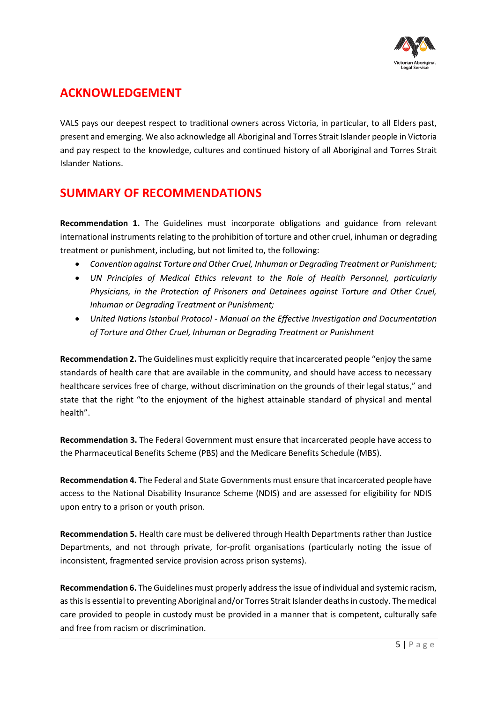

## <span id="page-4-0"></span>**ACKNOWLEDGEMENT**

VALS pays our deepest respect to traditional owners across Victoria, in particular, to all Elders past, present and emerging. We also acknowledge all Aboriginal and Torres Strait Islander people in Victoria and pay respect to the knowledge, cultures and continued history of all Aboriginal and Torres Strait Islander Nations.

## <span id="page-4-1"></span>**SUMMARY OF RECOMMENDATIONS**

**Recommendation 1.** The Guidelines must incorporate obligations and guidance from relevant international instruments relating to the prohibition of torture and other cruel, inhuman or degrading treatment or punishment, including, but not limited to, the following:

- *Convention against Torture and Other Cruel, Inhuman or Degrading Treatment or Punishment;*
- *UN Principles of Medical Ethics relevant to the Role of Health Personnel, particularly Physicians, in the Protection of Prisoners and Detainees against Torture and Other Cruel, Inhuman or Degrading Treatment or Punishment;*
- *United Nations Istanbul Protocol - Manual on the Effective Investigation and Documentation of Torture and Other Cruel, Inhuman or Degrading Treatment or Punishment*

**Recommendation 2.** The Guidelines must explicitly require that incarcerated people "enjoy the same standards of health care that are available in the community, and should have access to necessary healthcare services free of charge, without discrimination on the grounds of their legal status," and state that the right "to the enjoyment of the highest attainable standard of physical and mental health".

**Recommendation 3.** The Federal Government must ensure that incarcerated people have access to the Pharmaceutical Benefits Scheme (PBS) and the Medicare Benefits Schedule (MBS).

**Recommendation 4.** The Federal and State Governments must ensure that incarcerated people have access to the National Disability Insurance Scheme (NDIS) and are assessed for eligibility for NDIS upon entry to a prison or youth prison.

**Recommendation 5.** Health care must be delivered through Health Departments rather than Justice Departments, and not through private, for-profit organisations (particularly noting the issue of inconsistent, fragmented service provision across prison systems).

**Recommendation 6.** The Guidelines must properly address the issue of individual and systemic racism, as this is essential to preventing Aboriginal and/or Torres Strait Islander deaths in custody. The medical care provided to people in custody must be provided in a manner that is competent, culturally safe and free from racism or discrimination.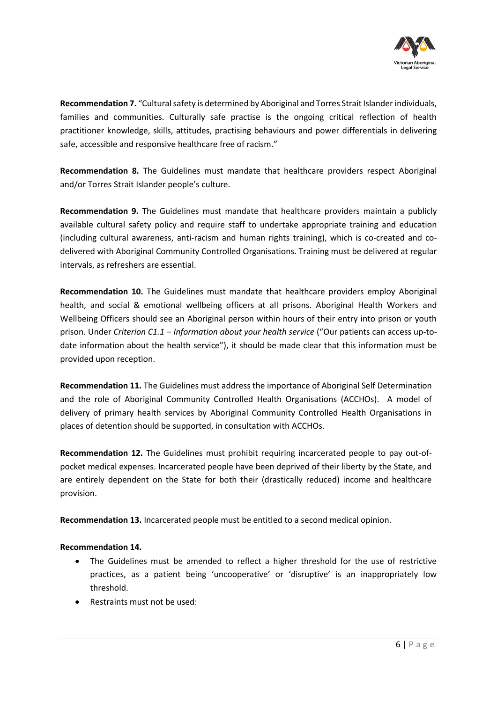

**Recommendation 7.** "Cultural safety is determined by Aboriginal and Torres Strait Islander individuals, families and communities. Culturally safe practise is the ongoing critical reflection of health practitioner knowledge, skills, attitudes, practising behaviours and power differentials in delivering safe, accessible and responsive healthcare free of racism."

**Recommendation 8.** The Guidelines must mandate that healthcare providers respect Aboriginal and/or Torres Strait Islander people's culture.

**Recommendation 9.** The Guidelines must mandate that healthcare providers maintain a publicly available cultural safety policy and require staff to undertake appropriate training and education (including cultural awareness, anti-racism and human rights training), which is co-created and codelivered with Aboriginal Community Controlled Organisations. Training must be delivered at regular intervals, as refreshers are essential.

**Recommendation 10.** The Guidelines must mandate that healthcare providers employ Aboriginal health, and social & emotional wellbeing officers at all prisons. Aboriginal Health Workers and Wellbeing Officers should see an Aboriginal person within hours of their entry into prison or youth prison. Under *Criterion C1.1 – Information about your health service* ("Our patients can access up-todate information about the health service"), it should be made clear that this information must be provided upon reception.

**Recommendation 11.** The Guidelines must address the importance of Aboriginal Self Determination and the role of Aboriginal Community Controlled Health Organisations (ACCHOs). A model of delivery of primary health services by Aboriginal Community Controlled Health Organisations in places of detention should be supported, in consultation with ACCHOs.

**Recommendation 12.** The Guidelines must prohibit requiring incarcerated people to pay out-ofpocket medical expenses. Incarcerated people have been deprived of their liberty by the State, and are entirely dependent on the State for both their (drastically reduced) income and healthcare provision.

**Recommendation 13.** Incarcerated people must be entitled to a second medical opinion.

#### **Recommendation 14.**

- The Guidelines must be amended to reflect a higher threshold for the use of restrictive practices, as a patient being 'uncooperative' or 'disruptive' is an inappropriately low threshold.
- Restraints must not be used: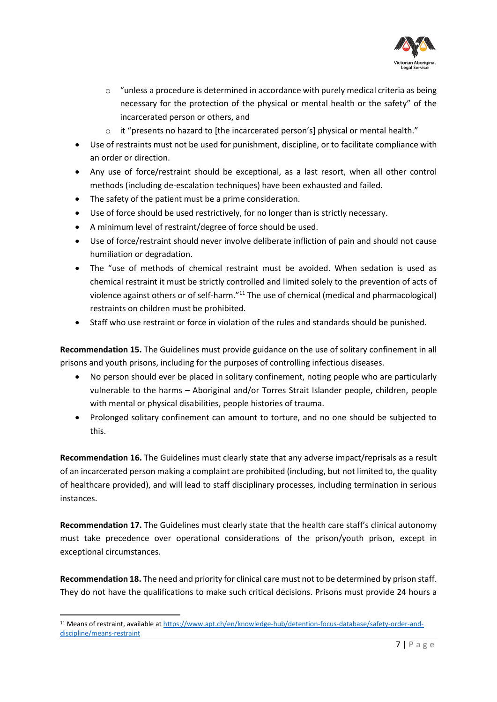

- $\circ$  "unless a procedure is determined in accordance with purely medical criteria as being necessary for the protection of the physical or mental health or the safety" of the incarcerated person or others, and
- it "presents no hazard to [the incarcerated person's] physical or mental health."
- Use of restraints must not be used for punishment, discipline, or to facilitate compliance with an order or direction.
- Any use of force/restraint should be exceptional, as a last resort, when all other control methods (including de-escalation techniques) have been exhausted and failed.
- The safety of the patient must be a prime consideration.
- Use of force should be used restrictively, for no longer than is strictly necessary.
- A minimum level of restraint/degree of force should be used.
- Use of force/restraint should never involve deliberate infliction of pain and should not cause humiliation or degradation.
- The "use of methods of chemical restraint must be avoided. When sedation is used as chemical restraint it must be strictly controlled and limited solely to the prevention of acts of violence against others or of self-harm."<sup>11</sup> The use of chemical (medical and pharmacological) restraints on children must be prohibited.
- Staff who use restraint or force in violation of the rules and standards should be punished.

**Recommendation 15.** The Guidelines must provide guidance on the use of solitary confinement in all prisons and youth prisons, including for the purposes of controlling infectious diseases.

- No person should ever be placed in solitary confinement, noting people who are particularly vulnerable to the harms – Aboriginal and/or Torres Strait Islander people, children, people with mental or physical disabilities, people histories of trauma.
- Prolonged solitary confinement can amount to torture, and no one should be subjected to this.

**Recommendation 16.** The Guidelines must clearly state that any adverse impact/reprisals as a result of an incarcerated person making a complaint are prohibited (including, but not limited to, the quality of healthcare provided), and will lead to staff disciplinary processes, including termination in serious instances.

**Recommendation 17.** The Guidelines must clearly state that the health care staff's clinical autonomy must take precedence over operational considerations of the prison/youth prison, except in exceptional circumstances.

**Recommendation 18.** The need and priority for clinical care must not to be determined by prison staff. They do not have the qualifications to make such critical decisions. Prisons must provide 24 hours a

<sup>11</sup> Means of restraint, available at [https://www.apt.ch/en/knowledge-hub/detention-focus-database/safety-order-and](https://www.apt.ch/en/knowledge-hub/detention-focus-database/safety-order-and-discipline/means-restraint)[discipline/means-restraint](https://www.apt.ch/en/knowledge-hub/detention-focus-database/safety-order-and-discipline/means-restraint)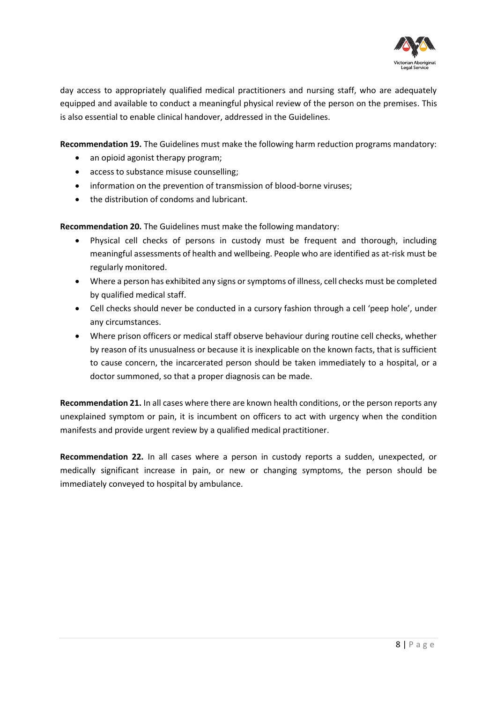

day access to appropriately qualified medical practitioners and nursing staff, who are adequately equipped and available to conduct a meaningful physical review of the person on the premises. This is also essential to enable clinical handover, addressed in the Guidelines.

**Recommendation 19.** The Guidelines must make the following harm reduction programs mandatory:

- an opioid agonist therapy program;
- access to substance misuse counselling;
- information on the prevention of transmission of blood-borne viruses;
- the distribution of condoms and lubricant.

**Recommendation 20.** The Guidelines must make the following mandatory:

- Physical cell checks of persons in custody must be frequent and thorough, including meaningful assessments of health and wellbeing. People who are identified as at-risk must be regularly monitored.
- Where a person has exhibited any signs or symptoms of illness, cell checks must be completed by qualified medical staff.
- Cell checks should never be conducted in a cursory fashion through a cell 'peep hole', under any circumstances.
- Where prison officers or medical staff observe behaviour during routine cell checks, whether by reason of its unusualness or because it is inexplicable on the known facts, that is sufficient to cause concern, the incarcerated person should be taken immediately to a hospital, or a doctor summoned, so that a proper diagnosis can be made.

**Recommendation 21.** In all cases where there are known health conditions, or the person reports any unexplained symptom or pain, it is incumbent on officers to act with urgency when the condition manifests and provide urgent review by a qualified medical practitioner.

**Recommendation 22.** In all cases where a person in custody reports a sudden, unexpected, or medically significant increase in pain, or new or changing symptoms, the person should be immediately conveyed to hospital by ambulance.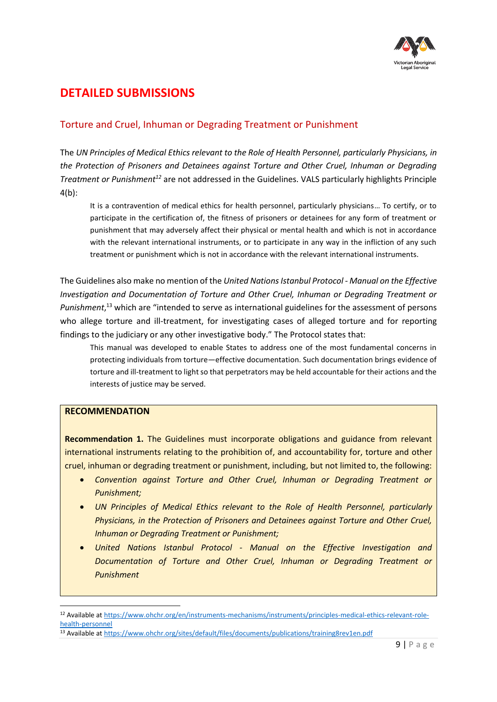

## <span id="page-8-0"></span>**DETAILED SUBMISSIONS**

## <span id="page-8-1"></span>Torture and Cruel, Inhuman or Degrading Treatment or Punishment

The *UN Principles of Medical Ethics relevant to the Role of Health Personnel, particularly Physicians, in the Protection of Prisoners and Detainees against Torture and Other Cruel, Inhuman or Degrading Treatment or Punishment<sup>12</sup>* are not addressed in the Guidelines. VALS particularly highlights Principle 4(b):

It is a contravention of medical ethics for health personnel, particularly physicians… To certify, or to participate in the certification of, the fitness of prisoners or detainees for any form of treatment or punishment that may adversely affect their physical or mental health and which is not in accordance with the relevant international instruments, or to participate in any way in the infliction of any such treatment or punishment which is not in accordance with the relevant international instruments.

The Guidelines also make no mention of the *United Nations Istanbul Protocol - Manual on the Effective Investigation and Documentation of Torture and Other Cruel, Inhuman or Degrading Treatment or Punishment*, <sup>13</sup> which are "intended to serve as international guidelines for the assessment of persons who allege torture and ill-treatment, for investigating cases of alleged torture and for reporting findings to the judiciary or any other investigative body." The Protocol states that:

This manual was developed to enable States to address one of the most fundamental concerns in protecting individuals from torture—effective documentation. Such documentation brings evidence of torture and ill-treatment to light so that perpetrators may be held accountable for their actions and the interests of justice may be served.

#### **RECOMMENDATION**

**Recommendation 1.** The Guidelines must incorporate obligations and guidance from relevant international instruments relating to the prohibition of, and accountability for, torture and other cruel, inhuman or degrading treatment or punishment, including, but not limited to, the following:

- *Convention against Torture and Other Cruel, Inhuman or Degrading Treatment or Punishment;*
- *UN Principles of Medical Ethics relevant to the Role of Health Personnel, particularly Physicians, in the Protection of Prisoners and Detainees against Torture and Other Cruel, Inhuman or Degrading Treatment or Punishment;*
- *United Nations Istanbul Protocol - Manual on the Effective Investigation and Documentation of Torture and Other Cruel, Inhuman or Degrading Treatment or Punishment*

<sup>12</sup> Available at [https://www.ohchr.org/en/instruments-mechanisms/instruments/principles-medical-ethics-relevant-role](https://www.ohchr.org/en/instruments-mechanisms/instruments/principles-medical-ethics-relevant-role-health-personnel)[health-personnel](https://www.ohchr.org/en/instruments-mechanisms/instruments/principles-medical-ethics-relevant-role-health-personnel)

<sup>13</sup> Available at<https://www.ohchr.org/sites/default/files/documents/publications/training8rev1en.pdf>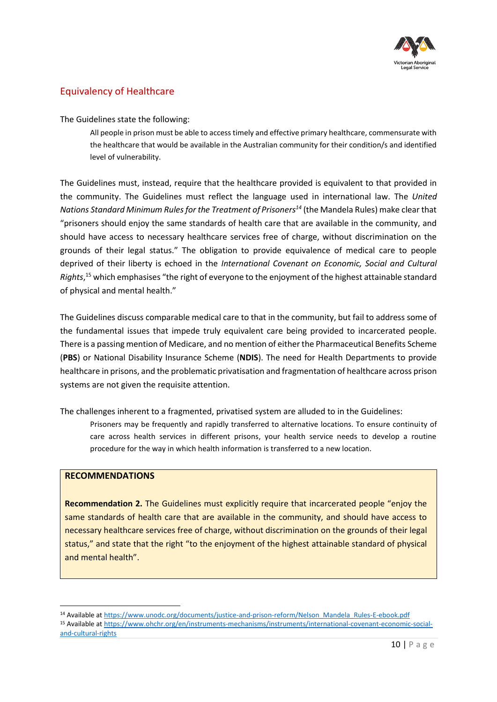

## <span id="page-9-0"></span>Equivalency of Healthcare

The Guidelines state the following:

All people in prison must be able to access timely and effective primary healthcare, commensurate with the healthcare that would be available in the Australian community for their condition/s and identified level of vulnerability.

The Guidelines must, instead, require that the healthcare provided is equivalent to that provided in the community. The Guidelines must reflect the language used in international law. The *United Nations Standard Minimum Rules for the Treatment of Prisoners<sup>14</sup>* (the Mandela Rules) make clear that "prisoners should enjoy the same standards of health care that are available in the community, and should have access to necessary healthcare services free of charge, without discrimination on the grounds of their legal status." The obligation to provide equivalence of medical care to people deprived of their liberty is echoed in the *International Covenant on Economic, Social and Cultural Rights*, <sup>15</sup> which emphasises "the right of everyone to the enjoyment of the highest attainable standard of physical and mental health."

The Guidelines discuss comparable medical care to that in the community, but fail to address some of the fundamental issues that impede truly equivalent care being provided to incarcerated people. There is a passing mention of Medicare, and no mention of either the Pharmaceutical Benefits Scheme (**PBS**) or National Disability Insurance Scheme (**NDIS**). The need for Health Departments to provide healthcare in prisons, and the problematic privatisation and fragmentation of healthcare across prison systems are not given the requisite attention.

The challenges inherent to a fragmented, privatised system are alluded to in the Guidelines:

Prisoners may be frequently and rapidly transferred to alternative locations. To ensure continuity of care across health services in different prisons, your health service needs to develop a routine procedure for the way in which health information is transferred to a new location.

#### **RECOMMENDATIONS**

**Recommendation 2.** The Guidelines must explicitly require that incarcerated people "enjoy the same standards of health care that are available in the community, and should have access to necessary healthcare services free of charge, without discrimination on the grounds of their legal status," and state that the right "to the enjoyment of the highest attainable standard of physical and mental health".

<sup>14</sup> Available at [https://www.unodc.org/documents/justice-and-prison-reform/Nelson\\_Mandela\\_Rules-E-ebook.pdf](https://www.unodc.org/documents/justice-and-prison-reform/Nelson_Mandela_Rules-E-ebook.pdf) <sup>15</sup> Available at [https://www.ohchr.org/en/instruments-mechanisms/instruments/international-covenant-economic-social](https://www.ohchr.org/en/instruments-mechanisms/instruments/international-covenant-economic-social-and-cultural-rights)[and-cultural-rights](https://www.ohchr.org/en/instruments-mechanisms/instruments/international-covenant-economic-social-and-cultural-rights)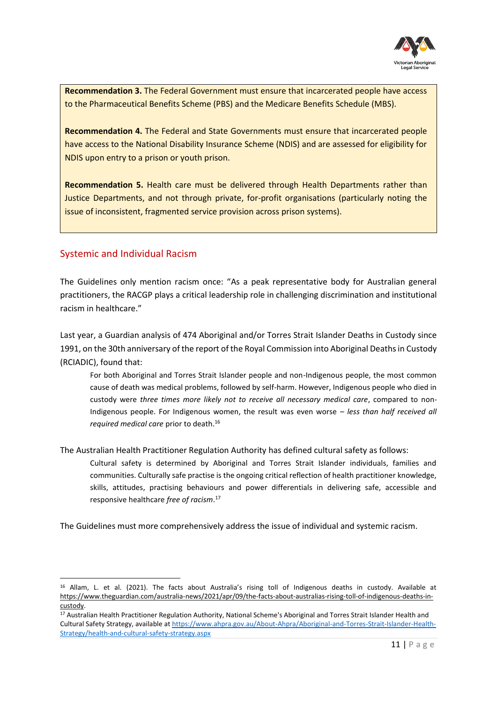

**Recommendation 3.** The Federal Government must ensure that incarcerated people have access to the Pharmaceutical Benefits Scheme (PBS) and the Medicare Benefits Schedule (MBS).

**Recommendation 4.** The Federal and State Governments must ensure that incarcerated people have access to the National Disability Insurance Scheme (NDIS) and are assessed for eligibility for NDIS upon entry to a prison or youth prison.

**Recommendation 5.** Health care must be delivered through Health Departments rather than Justice Departments, and not through private, for-profit organisations (particularly noting the issue of inconsistent, fragmented service provision across prison systems).

## <span id="page-10-0"></span>Systemic and Individual Racism

The Guidelines only mention racism once: "As a peak representative body for Australian general practitioners, the RACGP plays a critical leadership role in challenging discrimination and institutional racism in healthcare."

Last year, a Guardian analysis of 474 Aboriginal and/or Torres Strait Islander Deaths in Custody since 1991, on the 30th anniversary of the report of the Royal Commission into Aboriginal Deaths in Custody (RCIADIC), found that:

For both Aboriginal and Torres Strait Islander people and non-Indigenous people, the most common cause of death was medical problems, followed by self-harm. However, Indigenous people who died in custody were *three times more likely not to receive all necessary medical care*, compared to non-Indigenous people. For Indigenous women, the result was even worse – *less than half received all required medical care* prior to death.<sup>16</sup>

The Australian Health Practitioner Regulation Authority has defined cultural safety as follows:

Cultural safety is determined by Aboriginal and Torres Strait Islander individuals, families and communities. Culturally safe practise is the ongoing critical reflection of health practitioner knowledge, skills, attitudes, practising behaviours and power differentials in delivering safe, accessible and responsive healthcare *free of racism*. 17

The Guidelines must more comprehensively address the issue of individual and systemic racism.

<sup>16</sup> Allam, L. et al. (2021). The facts about Australia's rising toll of Indigenous deaths in custody. Available at [https://www.theguardian.com/australia-news/2021/apr/09/the-facts-about-australias-rising-toll-of-indigenous-deaths-in](https://www.theguardian.com/australia-news/2021/apr/09/the-facts-about-australias-rising-toll-of-indigenous-deaths-in-custody)[custody.](https://www.theguardian.com/australia-news/2021/apr/09/the-facts-about-australias-rising-toll-of-indigenous-deaths-in-custody)

<sup>17</sup> Australian Health Practitioner Regulation Authority, National Scheme's Aboriginal and Torres Strait Islander Health and Cultural Safety Strategy, available a[t https://www.ahpra.gov.au/About-Ahpra/Aboriginal-and-Torres-Strait-Islander-Health-](https://www.ahpra.gov.au/About-Ahpra/Aboriginal-and-Torres-Strait-Islander-Health-Strategy/health-and-cultural-safety-strategy.aspx)[Strategy/health-and-cultural-safety-strategy.aspx](https://www.ahpra.gov.au/About-Ahpra/Aboriginal-and-Torres-Strait-Islander-Health-Strategy/health-and-cultural-safety-strategy.aspx)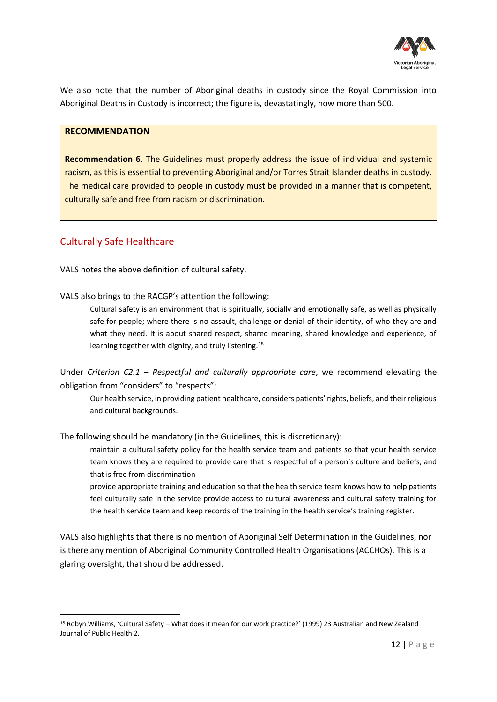

We also note that the number of Aboriginal deaths in custody since the Royal Commission into Aboriginal Deaths in Custody is incorrect; the figure is, devastatingly, now more than 500.

#### **RECOMMENDATION**

**Recommendation 6.** The Guidelines must properly address the issue of individual and systemic racism, as this is essential to preventing Aboriginal and/or Torres Strait Islander deaths in custody. The medical care provided to people in custody must be provided in a manner that is competent, culturally safe and free from racism or discrimination.

#### <span id="page-11-0"></span>Culturally Safe Healthcare

VALS notes the above definition of cultural safety.

VALS also brings to the RACGP's attention the following:

Cultural safety is an environment that is spiritually, socially and emotionally safe, as well as physically safe for people; where there is no assault, challenge or denial of their identity, of who they are and what they need. It is about shared respect, shared meaning, shared knowledge and experience, of learning together with dignity, and truly listening.<sup>18</sup>

Under *Criterion C2.1 – Respectful and culturally appropriate care*, we recommend elevating the obligation from "considers" to "respects":

Our health service, in providing patient healthcare, considers patients' rights, beliefs, and their religious and cultural backgrounds.

The following should be mandatory (in the Guidelines, this is discretionary):

maintain a cultural safety policy for the health service team and patients so that your health service team knows they are required to provide care that is respectful of a person's culture and beliefs, and that is free from discrimination

provide appropriate training and education so that the health service team knows how to help patients feel culturally safe in the service provide access to cultural awareness and cultural safety training for the health service team and keep records of the training in the health service's training register.

VALS also highlights that there is no mention of Aboriginal Self Determination in the Guidelines, nor is there any mention of Aboriginal Community Controlled Health Organisations (ACCHOs). This is a glaring oversight, that should be addressed.

<sup>18</sup> Robyn Williams, 'Cultural Safety – What does it mean for our work practice?' (1999) 23 Australian and New Zealand Journal of Public Health 2.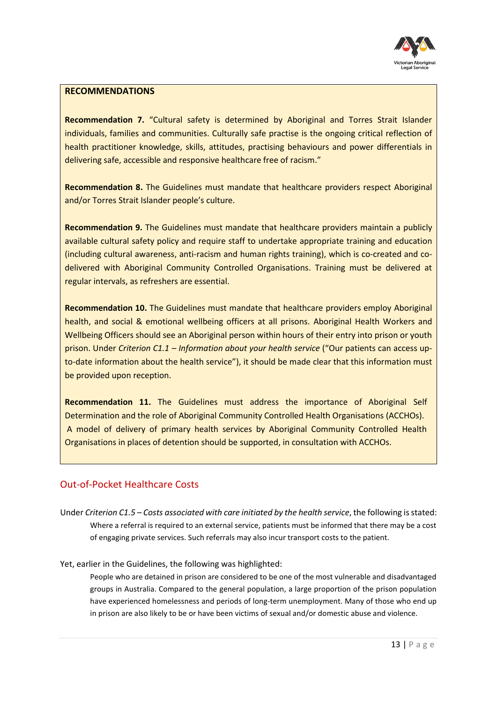

#### **RECOMMENDATIONS**

**Recommendation 7.** "Cultural safety is determined by Aboriginal and Torres Strait Islander individuals, families and communities. Culturally safe practise is the ongoing critical reflection of health practitioner knowledge, skills, attitudes, practising behaviours and power differentials in delivering safe, accessible and responsive healthcare free of racism."

**Recommendation 8.** The Guidelines must mandate that healthcare providers respect Aboriginal and/or Torres Strait Islander people's culture.

**Recommendation 9.** The Guidelines must mandate that healthcare providers maintain a publicly available cultural safety policy and require staff to undertake appropriate training and education (including cultural awareness, anti-racism and human rights training), which is co-created and codelivered with Aboriginal Community Controlled Organisations. Training must be delivered at regular intervals, as refreshers are essential.

**Recommendation 10.** The Guidelines must mandate that healthcare providers employ Aboriginal health, and social & emotional wellbeing officers at all prisons. Aboriginal Health Workers and Wellbeing Officers should see an Aboriginal person within hours of their entry into prison or youth prison. Under *Criterion C1.1 – Information about your health service* ("Our patients can access upto-date information about the health service"), it should be made clear that this information must be provided upon reception.

**Recommendation 11.** The Guidelines must address the importance of Aboriginal Self Determination and the role of Aboriginal Community Controlled Health Organisations (ACCHOs). A model of delivery of primary health services by Aboriginal Community Controlled Health Organisations in places of detention should be supported, in consultation with ACCHOs.

## <span id="page-12-0"></span>Out-of-Pocket Healthcare Costs

Under *Criterion C1.5 – Costs associated with care initiated by the health service*, the following is stated: Where a referral is required to an external service, patients must be informed that there may be a cost of engaging private services. Such referrals may also incur transport costs to the patient.

Yet, earlier in the Guidelines, the following was highlighted:

People who are detained in prison are considered to be one of the most vulnerable and disadvantaged groups in Australia. Compared to the general population, a large proportion of the prison population have experienced homelessness and periods of long-term unemployment. Many of those who end up in prison are also likely to be or have been victims of sexual and/or domestic abuse and violence.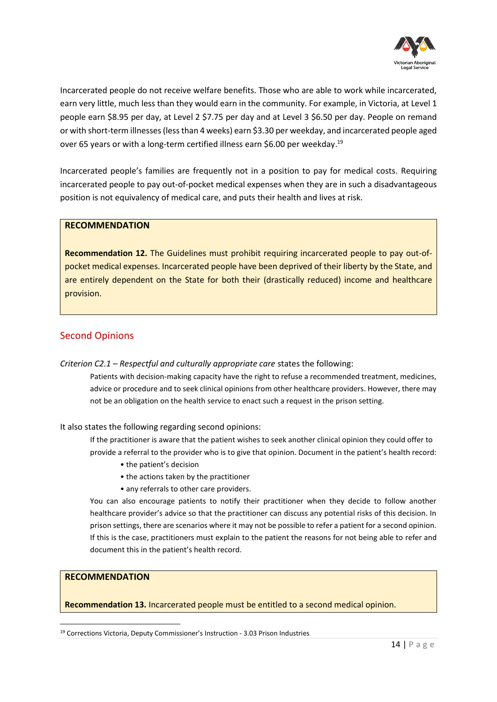

Incarcerated people do not receive welfare benefits. Those who are able to work while incarcerated, earn very little, much less than they would earn in the community. For example, in Victoria, at Level 1 people earn \$8.95 per day, at Level 2 \$7.75 per day and at Level 3 \$6.50 per day. People on remand or with short-term illnesses (less than 4 weeks) earn \$3.30 per weekday, and incarcerated people aged over 65 years or with a long-term certified illness earn \$6.00 per weekday.<sup>19</sup>

Incarcerated people's families are frequently not in a position to pay for medical costs. Requiring incarcerated people to pay out-of-pocket medical expenses when they are in such a disadvantageous position is not equivalency of medical care, and puts their health and lives at risk.

#### **RECOMMENDATION**

**Recommendation 12.** The Guidelines must prohibit requiring incarcerated people to pay out-ofpocket medical expenses. Incarcerated people have been deprived of their liberty by the State, and are entirely dependent on the State for both their (drastically reduced) income and healthcare provision.

## <span id="page-13-0"></span>Second Opinions

*Criterion C2.1 – Respectful and culturally appropriate care* states the following:

Patients with decision-making capacity have the right to refuse a recommended treatment, medicines, advice or procedure and to seek clinical opinions from other healthcare providers. However, there may not be an obligation on the health service to enact such a request in the prison setting.

It also states the following regarding second opinions:

If the practitioner is aware that the patient wishes to seek another clinical opinion they could offer to provide a referral to the provider who is to give that opinion. Document in the patient's health record:

- the patient's decision
- the actions taken by the practitioner
- any referrals to other care providers.

You can also encourage patients to notify their practitioner when they decide to follow another healthcare provider's advice so that the practitioner can discuss any potential risks of this decision. In prison settings, there are scenarios where it may not be possible to refer a patient for a second opinion. If this is the case, practitioners must explain to the patient the reasons for not being able to refer and document this in the patient's health record.

#### **RECOMMENDATION**

**Recommendation 13.** Incarcerated people must be entitled to a second medical opinion.

<sup>19</sup> Corrections Victoria, Deputy Commissioner's Instruction - 3.03 Prison Industries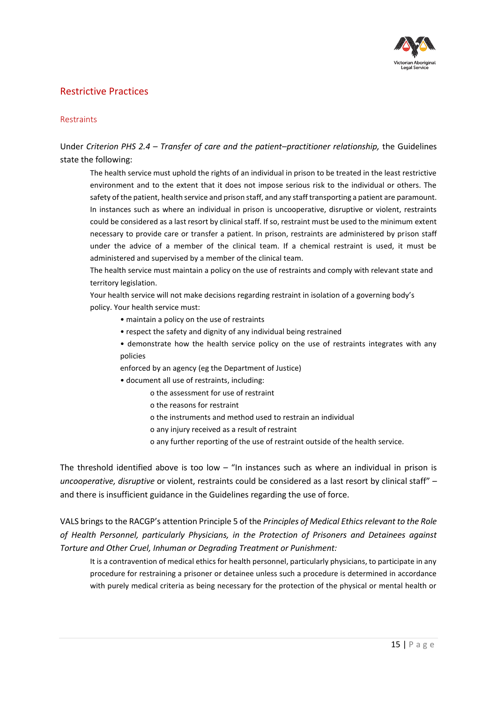

### <span id="page-14-0"></span>Restrictive Practices

#### Restraints

Under *Criterion PHS 2.4 – Transfer of care and the patient–practitioner relationship,* the Guidelines state the following:

The health service must uphold the rights of an individual in prison to be treated in the least restrictive environment and to the extent that it does not impose serious risk to the individual or others. The safety of the patient, health service and prison staff, and any staff transporting a patient are paramount. In instances such as where an individual in prison is uncooperative, disruptive or violent, restraints could be considered as a last resort by clinical staff. If so, restraint must be used to the minimum extent necessary to provide care or transfer a patient. In prison, restraints are administered by prison staff under the advice of a member of the clinical team. If a chemical restraint is used, it must be administered and supervised by a member of the clinical team.

The health service must maintain a policy on the use of restraints and comply with relevant state and territory legislation.

Your health service will not make decisions regarding restraint in isolation of a governing body's policy. Your health service must:

- maintain a policy on the use of restraints
- respect the safety and dignity of any individual being restrained
- demonstrate how the health service policy on the use of restraints integrates with any policies
- enforced by an agency (eg the Department of Justice)
- document all use of restraints, including:
	- o the assessment for use of restraint
	- o the reasons for restraint
	- o the instruments and method used to restrain an individual
	- o any injury received as a result of restraint
	- o any further reporting of the use of restraint outside of the health service.

The threshold identified above is too low  $-$  "In instances such as where an individual in prison is *uncooperative, disruptive* or violent, restraints could be considered as a last resort by clinical staff" – and there is insufficient guidance in the Guidelines regarding the use of force.

VALS brings to the RACGP's attention Principle 5 of the *Principles of Medical Ethics relevant to the Role of Health Personnel, particularly Physicians, in the Protection of Prisoners and Detainees against Torture and Other Cruel, Inhuman or Degrading Treatment or Punishment:*

It is a contravention of medical ethics for health personnel, particularly physicians, to participate in any procedure for restraining a prisoner or detainee unless such a procedure is determined in accordance with purely medical criteria as being necessary for the protection of the physical or mental health or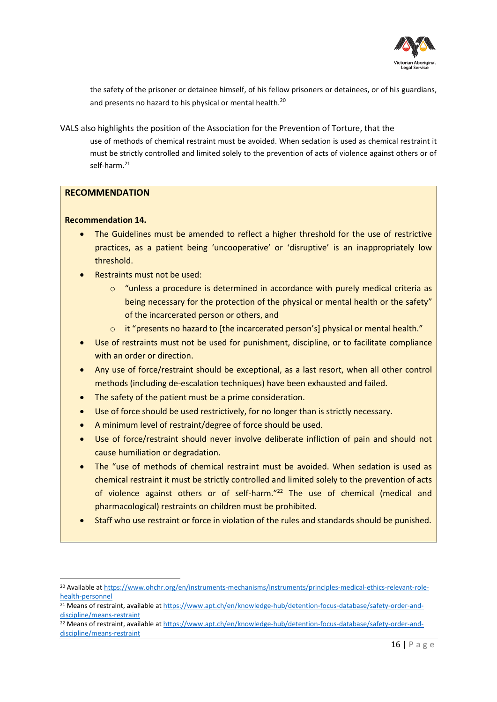

the safety of the prisoner or detainee himself, of his fellow prisoners or detainees, or of his guardians, and presents no hazard to his physical or mental health.<sup>20</sup>

VALS also highlights the position of the Association for the Prevention of Torture, that the use of methods of chemical restraint must be avoided. When sedation is used as chemical restraint it must be strictly controlled and limited solely to the prevention of acts of violence against others or of self-harm.<sup>21</sup>

#### **RECOMMENDATION**

#### **Recommendation 14.**

- The Guidelines must be amended to reflect a higher threshold for the use of restrictive practices, as a patient being 'uncooperative' or 'disruptive' is an inappropriately low threshold.
- Restraints must not be used:
	- $\circ$  "unless a procedure is determined in accordance with purely medical criteria as being necessary for the protection of the physical or mental health or the safety" of the incarcerated person or others, and
	- o it "presents no hazard to [the incarcerated person's] physical or mental health."
- Use of restraints must not be used for punishment, discipline, or to facilitate compliance with an order or direction.
- Any use of force/restraint should be exceptional, as a last resort, when all other control methods (including de-escalation techniques) have been exhausted and failed.
- The safety of the patient must be a prime consideration.
- Use of force should be used restrictively, for no longer than is strictly necessary.
- A minimum level of restraint/degree of force should be used.
- Use of force/restraint should never involve deliberate infliction of pain and should not cause humiliation or degradation.
- The "use of methods of chemical restraint must be avoided. When sedation is used as chemical restraint it must be strictly controlled and limited solely to the prevention of acts of violence against others or of self-harm."<sup>22</sup> The use of chemical (medical and pharmacological) restraints on children must be prohibited.
- Staff who use restraint or force in violation of the rules and standards should be punished.

<sup>20</sup> Available at [https://www.ohchr.org/en/instruments-mechanisms/instruments/principles-medical-ethics-relevant-role](https://www.ohchr.org/en/instruments-mechanisms/instruments/principles-medical-ethics-relevant-role-health-personnel)[health-personnel](https://www.ohchr.org/en/instruments-mechanisms/instruments/principles-medical-ethics-relevant-role-health-personnel)

<sup>&</sup>lt;sup>21</sup> Means of restraint, available at [https://www.apt.ch/en/knowledge-hub/detention-focus-database/safety-order-and](https://www.apt.ch/en/knowledge-hub/detention-focus-database/safety-order-and-discipline/means-restraint)[discipline/means-restraint](https://www.apt.ch/en/knowledge-hub/detention-focus-database/safety-order-and-discipline/means-restraint)

<sup>22</sup> Means of restraint, available at [https://www.apt.ch/en/knowledge-hub/detention-focus-database/safety-order-and](https://www.apt.ch/en/knowledge-hub/detention-focus-database/safety-order-and-discipline/means-restraint)[discipline/means-restraint](https://www.apt.ch/en/knowledge-hub/detention-focus-database/safety-order-and-discipline/means-restraint)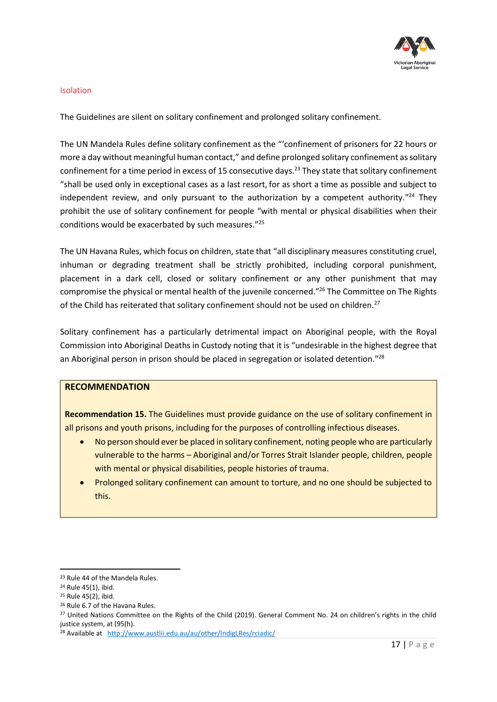

#### Isolation

The Guidelines are silent on solitary confinement and prolonged solitary confinement.

The UN Mandela Rules define solitary confinement as the "'confinement of prisoners for 22 hours or more a day without meaningful human contact," and define prolonged solitary confinement as solitary confinement for a time period in excess of 15 consecutive days.<sup>23</sup> They state that solitary confinement "shall be used only in exceptional cases as a last resort, for as short a time as possible and subject to independent review, and only pursuant to the authorization by a competent authority."<sup>24</sup> They prohibit the use of solitary confinement for people "with mental or physical disabilities when their conditions would be exacerbated by such measures." 25

The UN Havana Rules, which focus on children, state that "all disciplinary measures constituting cruel, inhuman or degrading treatment shall be strictly prohibited, including corporal punishment, placement in a dark cell, closed or solitary confinement or any other punishment that may compromise the physical or mental health of the juvenile concerned." <sup>26</sup> The Committee on The Rights of the Child has reiterated that solitary confinement should not be used on children.<sup>27</sup>

Solitary confinement has a particularly detrimental impact on Aboriginal people, with the Royal Commission into Aboriginal Deaths in Custody noting that it is "undesirable in the highest degree that an Aboriginal person in prison should be placed in segregation or isolated detention."<sup>28</sup>

#### **RECOMMENDATION**

**Recommendation 15.** The Guidelines must provide guidance on the use of solitary confinement in all prisons and youth prisons, including for the purposes of controlling infectious diseases.

- No person should ever be placed in solitary confinement, noting people who are particularly vulnerable to the harms – Aboriginal and/or Torres Strait Islander people, children, people with mental or physical disabilities, people histories of trauma.
- Prolonged solitary confinement can amount to torture, and no one should be subjected to this.

<sup>23</sup> Rule 44 of the Mandela Rules.

<sup>24</sup> Rule 45(1), ibid.

<sup>25</sup> Rule 45(2), ibid.

<sup>26</sup> Rule 6.7 of the Havana Rules.

<sup>&</sup>lt;sup>27</sup> United Nations Committee on the Rights of the Child (2019). General Comment No. 24 on children's rights in the child justice system, at (95(h).

<sup>&</sup>lt;sup>28</sup> Available at <http://www.austlii.edu.au/au/other/IndigLRes/rciadic/>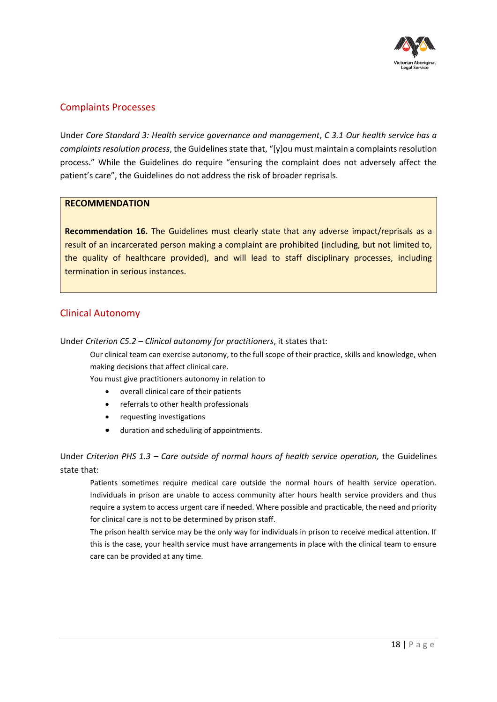

### <span id="page-17-0"></span>Complaints Processes

Under *Core Standard 3: Health service governance and management*, *C 3.1 Our health service has a complaints resolution process*, the Guidelines state that, "[y]ou must maintain a complaints resolution process." While the Guidelines do require "ensuring the complaint does not adversely affect the patient's care", the Guidelines do not address the risk of broader reprisals.

#### **RECOMMENDATION**

**Recommendation 16.** The Guidelines must clearly state that any adverse impact/reprisals as a result of an incarcerated person making a complaint are prohibited (including, but not limited to, the quality of healthcare provided), and will lead to staff disciplinary processes, including termination in serious instances.

### <span id="page-17-1"></span>Clinical Autonomy

Under *Criterion C5.2 – Clinical autonomy for practitioners*, it states that:

Our clinical team can exercise autonomy, to the full scope of their practice, skills and knowledge, when making decisions that affect clinical care.

You must give practitioners autonomy in relation to

- overall clinical care of their patients
- referrals to other health professionals
- requesting investigations
- duration and scheduling of appointments.

Under *Criterion PHS 1.3 – Care outside of normal hours of health service operation,* the Guidelines state that:

Patients sometimes require medical care outside the normal hours of health service operation. Individuals in prison are unable to access community after hours health service providers and thus require a system to access urgent care if needed. Where possible and practicable, the need and priority for clinical care is not to be determined by prison staff.

The prison health service may be the only way for individuals in prison to receive medical attention. If this is the case, your health service must have arrangements in place with the clinical team to ensure care can be provided at any time.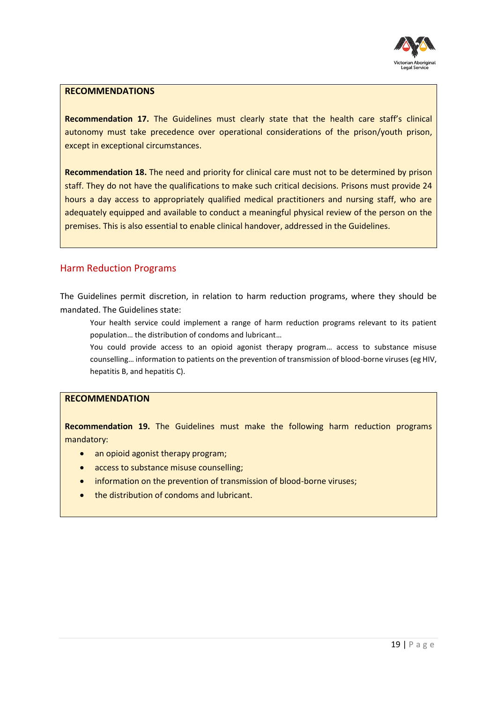

#### **RECOMMENDATIONS**

**Recommendation 17.** The Guidelines must clearly state that the health care staff's clinical autonomy must take precedence over operational considerations of the prison/youth prison, except in exceptional circumstances.

**Recommendation 18.** The need and priority for clinical care must not to be determined by prison staff. They do not have the qualifications to make such critical decisions. Prisons must provide 24 hours a day access to appropriately qualified medical practitioners and nursing staff, who are adequately equipped and available to conduct a meaningful physical review of the person on the premises. This is also essential to enable clinical handover, addressed in the Guidelines.

#### <span id="page-18-0"></span>Harm Reduction Programs

The Guidelines permit discretion, in relation to harm reduction programs, where they should be mandated. The Guidelines state:

Your health service could implement a range of harm reduction programs relevant to its patient population… the distribution of condoms and lubricant…

You could provide access to an opioid agonist therapy program… access to substance misuse counselling… information to patients on the prevention of transmission of blood-borne viruses (eg HIV, hepatitis B, and hepatitis C).

#### **RECOMMENDATION**

**Recommendation 19.** The Guidelines must make the following harm reduction programs mandatory:

- an opioid agonist therapy program;
- access to substance misuse counselling;
- information on the prevention of transmission of blood-borne viruses;
- the distribution of condoms and lubricant.